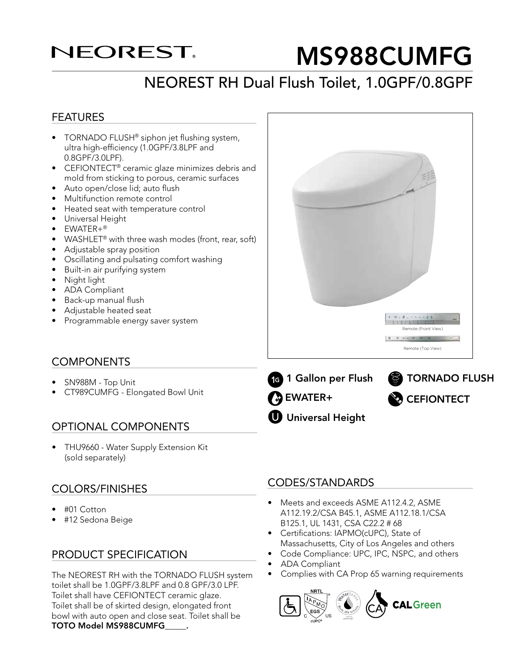## **NEOREST**

# MS988CUMFG

## NEOREST RH Dual Flush Toilet, 1.0GPF/0.8GPF

#### FEATURES

- TORNADO FLUSH<sup>®</sup> siphon jet flushing system, ultra high-efficiency (1.0GPF/3.8LPF and 0.8GPF/3.0LPF).
- CEFIONTECT<sup>®</sup> ceramic glaze minimizes debris and mold from sticking to porous, ceramic surfaces
- Auto open/close lid; auto flush
- Multifunction remote control
- Heated seat with temperature control
- Universal Height
- EWATER+®
- WASHLET<sup>®</sup> with three wash modes (front, rear, soft)
- Adjustable spray position
- Oscillating and pulsating comfort washing
- Built-in air purifying system
- Night light
- ADA Compliant
- Back-up manual flush
- Adjustable heated seat
- Programmable energy saver system

#### **COMPONENTS**

- SN988M Top Unit
- CT989CUMFG Elongated Bowl Unit

#### OPTIONAL COMPONENTS

• THU9660 - Water Supply Extension Kit (sold separately)

#### COLORS/FINISHES

- #01 Cotton
- #12 Sedona Beige

#### PRODUCT SPECIFICATION

The NEOREST RH with the TORNADO FLUSH system toilet shall be 1.0GPF/3.8LPF and 0.8 GPF/3.0 LPF. Toilet shall have CEFIONTECT ceramic glaze. Toilet shall be of skirted design, elongated front bowl with auto open and close seat. Toilet shall be TOTO Model MS988CUMFG\_\_\_\_\_.

#### CODES/STANDARDS

**U** Universal Height

• Meets and exceeds ASME A112.4.2, ASME A112.19.2/CSA B45.1, ASME A112.18.1/CSA B125.1, UL 1431, CSA C22.2 # 68

**1 Gallon per Flush Stranger TORNADO FLUSH** 

**CEFIONTECT** 

Remote (Front View)

Remote (Top View)

- Certifications: IAPMO(cUPC), State of Massachusetts, City of Los Angeles and others
- Code Compliance: UPC, IPC, NSPC, and others
- ADA Compliant

**DEWATER+** 

ONE GALLON

• Complies with CA Prop 65 warning requirements